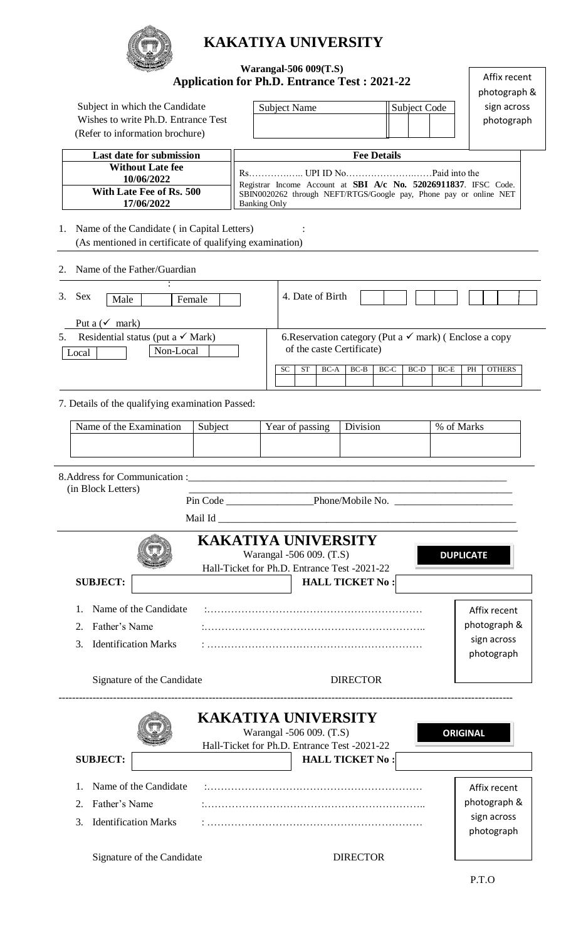

## **KAKATIYA UNIVERSITY**

|                                                                                                                                                                            |                                            |                                                                                                       |  |                                                     | <b>Warangal-506 009(T.S)</b>                                                                                                         |                   |                        |      |                     |              |                     | Affix recent |  |
|----------------------------------------------------------------------------------------------------------------------------------------------------------------------------|--------------------------------------------|-------------------------------------------------------------------------------------------------------|--|-----------------------------------------------------|--------------------------------------------------------------------------------------------------------------------------------------|-------------------|------------------------|------|---------------------|--------------|---------------------|--------------|--|
|                                                                                                                                                                            |                                            |                                                                                                       |  | <b>Application for Ph.D. Entrance Test: 2021-22</b> |                                                                                                                                      |                   |                        |      |                     |              |                     | photograph & |  |
| Subject in which the Candidate                                                                                                                                             |                                            |                                                                                                       |  |                                                     | <b>Subject Name</b>                                                                                                                  |                   |                        |      | <b>Subject Code</b> |              | sign across         |              |  |
| Wishes to write Ph.D. Entrance Test                                                                                                                                        |                                            |                                                                                                       |  |                                                     |                                                                                                                                      |                   |                        |      |                     |              | photograph          |              |  |
|                                                                                                                                                                            |                                            | (Refer to information brochure)                                                                       |  |                                                     |                                                                                                                                      |                   |                        |      |                     |              |                     |              |  |
| Last date for submission                                                                                                                                                   |                                            |                                                                                                       |  |                                                     | <b>Fee Details</b>                                                                                                                   |                   |                        |      |                     |              |                     |              |  |
|                                                                                                                                                                            | <b>Without Late fee</b>                    |                                                                                                       |  |                                                     |                                                                                                                                      |                   |                        |      |                     |              |                     |              |  |
| 10/06/2022<br>With Late Fee of Rs. 500                                                                                                                                     |                                            |                                                                                                       |  |                                                     | Registrar Income Account at SBI A/c No. 52026911837. IFSC Code.<br>SBIN0020262 through NEFT/RTGS/Google pay, Phone pay or online NET |                   |                        |      |                     |              |                     |              |  |
|                                                                                                                                                                            |                                            | 17/06/2022                                                                                            |  |                                                     | <b>Banking Only</b>                                                                                                                  |                   |                        |      |                     |              |                     |              |  |
| 1.                                                                                                                                                                         |                                            | Name of the Candidate (in Capital Letters)<br>(As mentioned in certificate of qualifying examination) |  |                                                     |                                                                                                                                      |                   |                        |      |                     |              |                     |              |  |
| 2.                                                                                                                                                                         |                                            | Name of the Father/Guardian                                                                           |  |                                                     |                                                                                                                                      |                   |                        |      |                     |              |                     |              |  |
| 3.<br><b>Sex</b>                                                                                                                                                           | Male                                       | Female                                                                                                |  |                                                     |                                                                                                                                      | 4. Date of Birth  |                        |      |                     |              |                     |              |  |
|                                                                                                                                                                            |                                            |                                                                                                       |  |                                                     |                                                                                                                                      |                   |                        |      |                     |              |                     |              |  |
|                                                                                                                                                                            | Put a $(\checkmark)$ mark)                 |                                                                                                       |  |                                                     |                                                                                                                                      |                   |                        |      |                     |              |                     |              |  |
| Residential status (put a $\checkmark$ Mark)<br>6. Reservation category (Put a $\checkmark$ mark) (Enclose a copy<br>5.<br>of the caste Certificate)<br>Non-Local<br>Local |                                            |                                                                                                       |  |                                                     |                                                                                                                                      |                   |                        |      |                     |              |                     |              |  |
|                                                                                                                                                                            |                                            |                                                                                                       |  |                                                     | <b>SC</b>                                                                                                                            | <b>ST</b><br>BC-A | $BC-B$                 | BC-C | BC-D                | $BC-E$       | <b>OTHERS</b><br>PH |              |  |
|                                                                                                                                                                            |                                            |                                                                                                       |  |                                                     |                                                                                                                                      |                   |                        |      |                     |              |                     |              |  |
|                                                                                                                                                                            |                                            | 7. Details of the qualifying examination Passed:                                                      |  |                                                     |                                                                                                                                      |                   |                        |      |                     |              |                     |              |  |
|                                                                                                                                                                            | Name of the Examination                    |                                                                                                       |  |                                                     | Division<br>Year of passing                                                                                                          |                   |                        |      |                     |              | % of Marks          |              |  |
|                                                                                                                                                                            | Subject                                    |                                                                                                       |  |                                                     |                                                                                                                                      |                   |                        |      |                     |              |                     |              |  |
|                                                                                                                                                                            |                                            |                                                                                                       |  |                                                     |                                                                                                                                      |                   |                        |      |                     |              |                     |              |  |
|                                                                                                                                                                            |                                            |                                                                                                       |  |                                                     |                                                                                                                                      |                   |                        |      |                     |              |                     |              |  |
|                                                                                                                                                                            | (in Block Letters)                         |                                                                                                       |  |                                                     |                                                                                                                                      |                   |                        |      |                     |              |                     |              |  |
|                                                                                                                                                                            |                                            |                                                                                                       |  |                                                     |                                                                                                                                      |                   |                        |      |                     |              |                     |              |  |
|                                                                                                                                                                            |                                            |                                                                                                       |  |                                                     |                                                                                                                                      |                   |                        |      |                     |              |                     |              |  |
| <b>KAKATIYA UNIVERSITY</b>                                                                                                                                                 |                                            |                                                                                                       |  |                                                     |                                                                                                                                      |                   |                        |      |                     |              |                     |              |  |
|                                                                                                                                                                            |                                            |                                                                                                       |  |                                                     | Warangal -506 009. (T.S)                                                                                                             |                   |                        |      |                     |              | <b>DUPLICATE</b>    |              |  |
|                                                                                                                                                                            |                                            |                                                                                                       |  | Hall-Ticket for Ph.D. Entrance Test -2021-22        |                                                                                                                                      |                   |                        |      |                     |              |                     |              |  |
|                                                                                                                                                                            | <b>SUBJECT:</b>                            |                                                                                                       |  |                                                     |                                                                                                                                      |                   | <b>HALL TICKET No:</b> |      |                     |              |                     |              |  |
| 1.                                                                                                                                                                         |                                            | Name of the Candidate                                                                                 |  |                                                     |                                                                                                                                      |                   |                        |      |                     |              | Affix recent        |              |  |
| 2.                                                                                                                                                                         | Father's Name                              |                                                                                                       |  |                                                     |                                                                                                                                      |                   |                        |      |                     | photograph & |                     |              |  |
| 3.                                                                                                                                                                         | sign across<br><b>Identification Marks</b> |                                                                                                       |  |                                                     |                                                                                                                                      |                   |                        |      |                     |              |                     |              |  |
|                                                                                                                                                                            |                                            |                                                                                                       |  |                                                     |                                                                                                                                      |                   |                        |      |                     |              | photograph          |              |  |
| Signature of the Candidate                                                                                                                                                 |                                            |                                                                                                       |  |                                                     | <b>DIRECTOR</b>                                                                                                                      |                   |                        |      |                     |              |                     |              |  |
|                                                                                                                                                                            |                                            |                                                                                                       |  |                                                     |                                                                                                                                      |                   |                        |      |                     |              |                     |              |  |
|                                                                                                                                                                            |                                            |                                                                                                       |  |                                                     | <b>KAKATIYA UNIVERSITY</b>                                                                                                           |                   |                        |      |                     |              |                     |              |  |
| Warangal -506 009. (T.S)<br><b>ORIGINAL</b><br>Hall-Ticket for Ph.D. Entrance Test -2021-22                                                                                |                                            |                                                                                                       |  |                                                     |                                                                                                                                      |                   |                        |      |                     |              |                     |              |  |
|                                                                                                                                                                            | <b>SUBJECT:</b>                            |                                                                                                       |  |                                                     |                                                                                                                                      |                   | <b>HALL TICKET No:</b> |      |                     |              |                     |              |  |
|                                                                                                                                                                            |                                            |                                                                                                       |  |                                                     |                                                                                                                                      |                   |                        |      |                     |              |                     |              |  |
| $\mathbf{1}$ .                                                                                                                                                             |                                            | Name of the Candidate                                                                                 |  |                                                     |                                                                                                                                      |                   |                        |      |                     |              | Affix recent        |              |  |
| 2.                                                                                                                                                                         | Father's Name                              |                                                                                                       |  |                                                     |                                                                                                                                      |                   |                        |      |                     |              | photograph &        |              |  |
| 3.                                                                                                                                                                         |                                            | <b>Identification Marks</b>                                                                           |  |                                                     |                                                                                                                                      |                   |                        |      |                     |              | sign across         |              |  |
|                                                                                                                                                                            |                                            |                                                                                                       |  |                                                     |                                                                                                                                      |                   |                        |      |                     |              | photograph          |              |  |
| Sionature of the Candidate                                                                                                                                                 |                                            |                                                                                                       |  |                                                     | <b>DIRECTOR</b>                                                                                                                      |                   |                        |      |                     |              |                     |              |  |

Signature of the Candidate DIRECTOR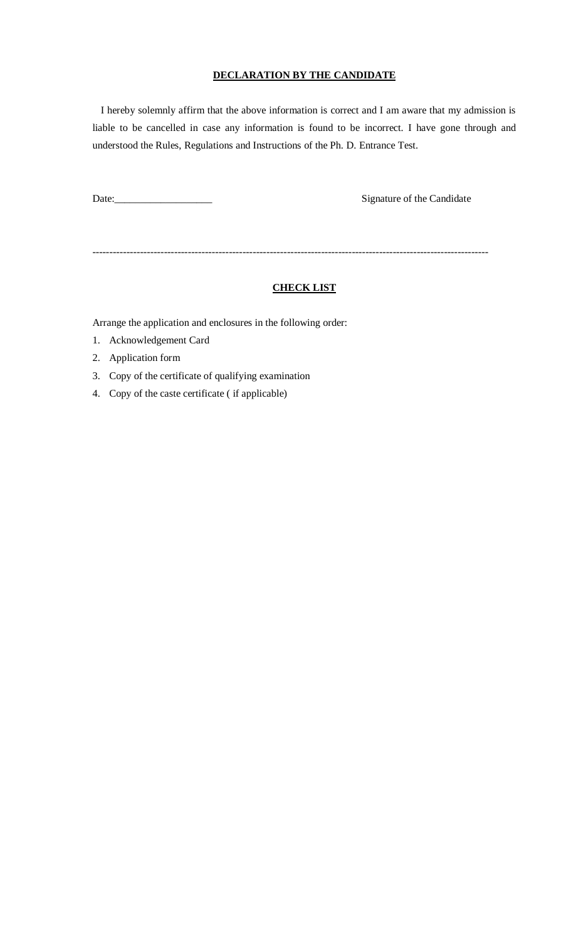## **DECLARATION BY THE CANDIDATE**

I hereby solemnly affirm that the above information is correct and I am aware that my admission is liable to be cancelled in case any information is found to be incorrect. I have gone through and understood the Rules, Regulations and Instructions of the Ph. D. Entrance Test.

Signature of the Candidate

--------------------------------------------------------------------------------------------------------------------

## **CHECK LIST**

Arrange the application and enclosures in the following order:

- 1. Acknowledgement Card
- 2. Application form
- 3. Copy of the certificate of qualifying examination
- 4. Copy of the caste certificate ( if applicable)